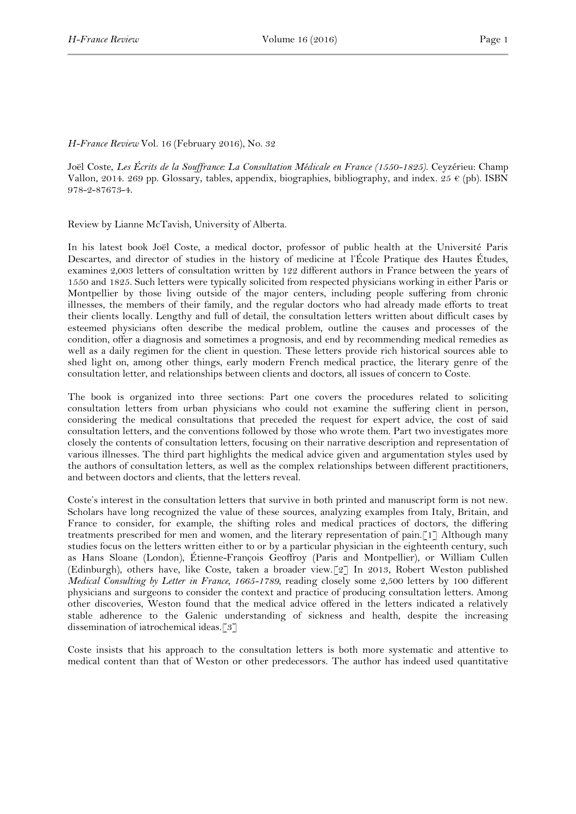## *H-France Review* Vol. 16 (February 2016), No. 32

Joël Coste, *Les Écrits de la Souffrance: La Consultation Médicale en France (1550-1825)*. Ceyzérieu: Champ Vallon, 2014. 269 pp. Glossary, tables, appendix, biographies, bibliography, and index. 25  $\epsilon$  (pb). ISBN 978-2-87673-4.

Review by Lianne McTavish, University of Alberta.

In his latest book Joël Coste, a medical doctor, professor of public health at the Université Paris Descartes, and director of studies in the history of medicine at l'École Pratique des Hautes Études, examines 2,003 letters of consultation written by 122 different authors in France between the years of 1550 and 1825. Such letters were typically solicited from respected physicians working in either Paris or Montpellier by those living outside of the major centers, including people suffering from chronic illnesses, the members of their family, and the regular doctors who had already made efforts to treat their clients locally. Lengthy and full of detail, the consultation letters written about difficult cases by esteemed physicians often describe the medical problem, outline the causes and processes of the condition, offer a diagnosis and sometimes a prognosis, and end by recommending medical remedies as well as a daily regimen for the client in question. These letters provide rich historical sources able to shed light on, among other things, early modern French medical practice, the literary genre of the consultation letter, and relationships between clients and doctors, all issues of concern to Coste.

The book is organized into three sections: Part one covers the procedures related to soliciting consultation letters from urban physicians who could not examine the suffering client in person, considering the medical consultations that preceded the request for expert advice, the cost of said consultation letters, and the conventions followed by those who wrote them. Part two investigates more closely the contents of consultation letters, focusing on their narrative description and representation of various illnesses. The third part highlights the medical advice given and argumentation styles used by the authors of consultation letters, as well as the complex relationships between different practitioners, and between doctors and clients, that the letters reveal.

Coste's interest in the consultation letters that survive in both printed and manuscript form is not new. Scholars have long recognized the value of these sources, analyzing examples from Italy, Britain, and France to consider, for example, the shifting roles and medical practices of doctors, the differing treatments prescribed for men and women, and the literary representation of pain.[1] Although many studies focus on the letters written either to or by a particular physician in the eighteenth century, such as Hans Sloane (London), Étienne-François Geoffroy (Paris and Montpellier), or William Cullen (Edinburgh), others have, like Coste, taken a broader view.[2] In 2013, Robert Weston published *Medical Consulting by Letter in France, 1665-1789*, reading closely some 2,500 letters by 100 different physicians and surgeons to consider the context and practice of producing consultation letters. Among other discoveries, Weston found that the medical advice offered in the letters indicated a relatively stable adherence to the Galenic understanding of sickness and health, despite the increasing dissemination of iatrochemical ideas.[3]

Coste insists that his approach to the consultation letters is both more systematic and attentive to medical content than that of Weston or other predecessors. The author has indeed used quantitative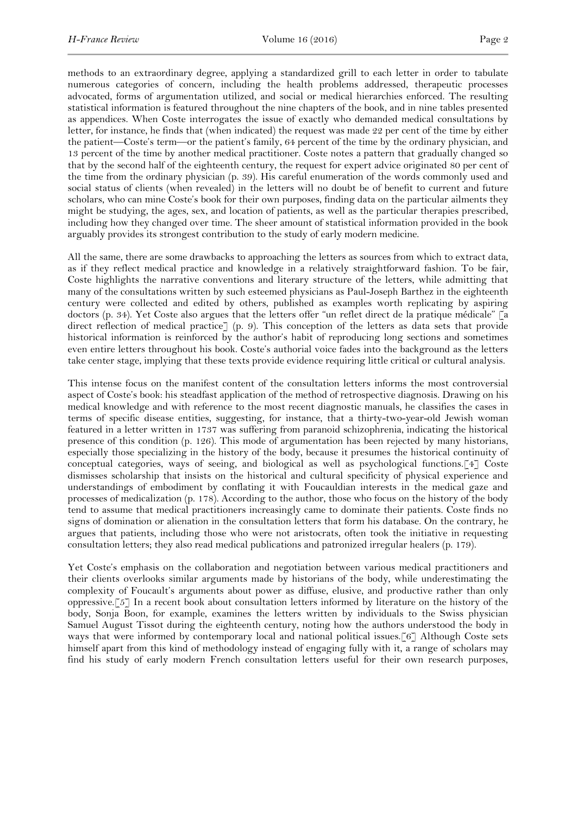methods to an extraordinary degree, applying a standardized grill to each letter in order to tabulate numerous categories of concern, including the health problems addressed, therapeutic processes advocated, forms of argumentation utilized, and social or medical hierarchies enforced. The resulting statistical information is featured throughout the nine chapters of the book, and in nine tables presented as appendices. When Coste interrogates the issue of exactly who demanded medical consultations by letter, for instance, he finds that (when indicated) the request was made 22 per cent of the time by either the patient—Coste's term—or the patient's family, 64 percent of the time by the ordinary physician, and 13 percent of the time by another medical practitioner. Coste notes a pattern that gradually changed so that by the second half of the eighteenth century, the request for expert advice originated 80 per cent of the time from the ordinary physician (p. 39). His careful enumeration of the words commonly used and social status of clients (when revealed) in the letters will no doubt be of benefit to current and future scholars, who can mine Coste's book for their own purposes, finding data on the particular ailments they might be studying, the ages, sex, and location of patients, as well as the particular therapies prescribed, including how they changed over time. The sheer amount of statistical information provided in the book arguably provides its strongest contribution to the study of early modern medicine.

All the same, there are some drawbacks to approaching the letters as sources from which to extract data, as if they reflect medical practice and knowledge in a relatively straightforward fashion. To be fair, Coste highlights the narrative conventions and literary structure of the letters, while admitting that many of the consultations written by such esteemed physicians as Paul-Joseph Barthez in the eighteenth century were collected and edited by others, published as examples worth replicating by aspiring doctors (p. 34). Yet Coste also argues that the letters offer "un reflet direct de la pratique médicale" [a direct reflection of medical practice] (p. 9). This conception of the letters as data sets that provide historical information is reinforced by the author's habit of reproducing long sections and sometimes even entire letters throughout his book. Coste's authorial voice fades into the background as the letters take center stage, implying that these texts provide evidence requiring little critical or cultural analysis.

This intense focus on the manifest content of the consultation letters informs the most controversial aspect of Coste's book: his steadfast application of the method of retrospective diagnosis. Drawing on his medical knowledge and with reference to the most recent diagnostic manuals, he classifies the cases in terms of specific disease entities, suggesting, for instance, that a thirty-two-year-old Jewish woman featured in a letter written in 1737 was suffering from paranoid schizophrenia, indicating the historical presence of this condition (p. 126). This mode of argumentation has been rejected by many historians, especially those specializing in the history of the body, because it presumes the historical continuity of conceptual categories, ways of seeing, and biological as well as psychological functions.[4] Coste dismisses scholarship that insists on the historical and cultural specificity of physical experience and understandings of embodiment by conflating it with Foucauldian interests in the medical gaze and processes of medicalization (p. 178). According to the author, those who focus on the history of the body tend to assume that medical practitioners increasingly came to dominate their patients. Coste finds no signs of domination or alienation in the consultation letters that form his database. On the contrary, he argues that patients, including those who were not aristocrats, often took the initiative in requesting consultation letters; they also read medical publications and patronized irregular healers (p. 179).

Yet Coste's emphasis on the collaboration and negotiation between various medical practitioners and their clients overlooks similar arguments made by historians of the body, while underestimating the complexity of Foucault's arguments about power as diffuse, elusive, and productive rather than only oppressive.[5] In a recent book about consultation letters informed by literature on the history of the body, Sonja Boon, for example, examines the letters written by individuals to the Swiss physician Samuel August Tissot during the eighteenth century, noting how the authors understood the body in ways that were informed by contemporary local and national political issues.[6] Although Coste sets himself apart from this kind of methodology instead of engaging fully with it, a range of scholars may find his study of early modern French consultation letters useful for their own research purposes,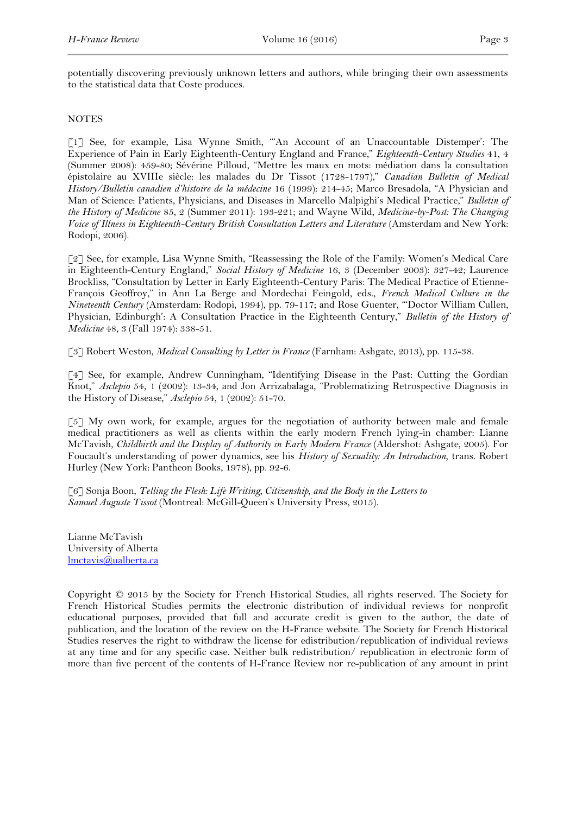potentially discovering previously unknown letters and authors, while bringing their own assessments to the statistical data that Coste produces.

## **NOTES**

[1] See, for example, Lisa Wynne Smith, "'An Account of an Unaccountable Distemper': The Experience of Pain in Early Eighteenth-Century England and France," *Eighteenth-Century Studies* 41, 4 (Summer 2008): 459-80; Sévérine Pilloud, "Mettre les maux en mots: médiation dans la consultation épistolaire au XVIIIe siècle: les malades du Dr Tissot (1728-1797)," *Canadian Bulletin of Medical History/Bulletin canadien d'histoire de la médecine* 16 (1999): 214-45; Marco Bresadola, "A Physician and Man of Science: Patients, Physicians, and Diseases in Marcello Malpighi's Medical Practice," *Bulletin of the History of Medicine* 85, 2 (Summer 2011): 193-221; and Wayne Wild, *Medicine-by-Post: The Changing Voice of Illness in Eighteenth-Century British Consultation Letters and Literature* (Amsterdam and New York: Rodopi, 2006).

[2] See, for example, Lisa Wynne Smith, "Reassessing the Role of the Family: Women's Medical Care in Eighteenth-Century England," *Social History of Medicine* 16, 3 (December 2003): 327-42; Laurence Brockliss, "Consultation by Letter in Early Eighteenth-Century Paris: The Medical Practice of Etienne-François Geoffroy," in Ann La Berge and Mordechai Feingold, eds., *French Medical Culture in the Nineteenth Century* (Amsterdam: Rodopi, 1994), pp. 79-117; and Rose Guenter, "'Doctor William Cullen, Physician, Edinburgh': A Consultation Practice in the Eighteenth Century," *Bulletin of the History of Medicine* 48, 3 (Fall 1974): 338-51.

[3] Robert Weston, *Medical Consulting by Letter in France* (Farnham: Ashgate, 2013), pp. 115-38.

[4] See, for example, Andrew Cunningham, "Identifying Disease in the Past: Cutting the Gordian Knot," *Asclepio* 54, 1 (2002): 13-34, and Jon Arrizabalaga, "Problematizing Retrospective Diagnosis in the History of Disease," *Asclepio* 54, 1 (2002): 51-70.

[5] My own work, for example, argues for the negotiation of authority between male and female medical practitioners as well as clients within the early modern French lying-in chamber: Lianne McTavish, *Childbirth and the Display of Authority in Early Modern France* (Aldershot: Ashgate, 2005). For Foucault's understanding of power dynamics, see his *History of Sexuality: An Introduction*, trans. Robert Hurley (New York: Pantheon Books, 1978), pp. 92-6.

[6] Sonja Boon, *Telling the Flesh: Life Writing, Citizenship, and the Body in the Letters to Samuel Auguste Tissot* (Montreal: McGill-Queen's University Press, 2015).

Lianne McTavish University of Alberta lmctavis@ualberta.ca

Copyright © 2015 by the Society for French Historical Studies, all rights reserved. The Society for French Historical Studies permits the electronic distribution of individual reviews for nonprofit educational purposes, provided that full and accurate credit is given to the author, the date of publication, and the location of the review on the H-France website. The Society for French Historical Studies reserves the right to withdraw the license for edistribution/republication of individual reviews at any time and for any specific case. Neither bulk redistribution/ republication in electronic form of more than five percent of the contents of H-France Review nor re-publication of any amount in print